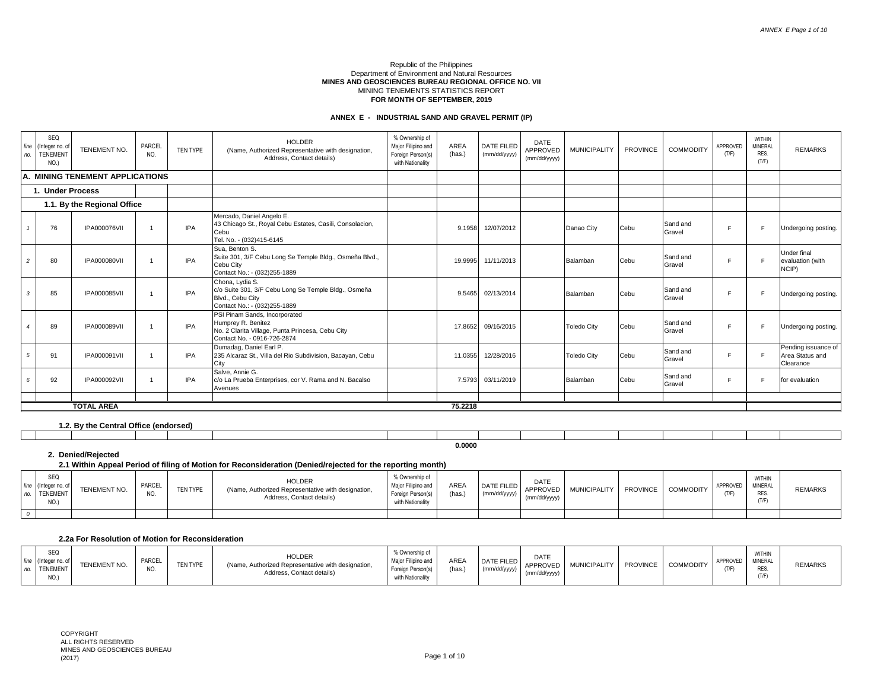#### Republic of the Philippines Department of Environment and Natural Resources **MINES AND GEOSCIENCES BUREAU REGIONAL OFFICE NO. VII** MINING TENEMENTS STATISTICS REPORT **FOR MONTH OF SEPTEMBER, 2019**

# **ANNEX E - INDUSTRIAL SAND AND GRAVEL PERMIT (IP)**

| line<br>no.    | SEQ<br>Integer no. o<br><b>TENEMENT</b><br>NO.) | TENEMENT NO.                    | PARCEL<br>NO. | TEN TYPE   | <b>HOLDER</b><br>(Name, Authorized Representative with designation,<br>Address, Contact details)                                       | % Ownership of<br>Major Filipino and<br>Foreign Person(s)<br>with Nationality | AREA<br>(has.) | DATE FILED<br>(mm/dd/yyyy) | DATE<br>APPROVED<br>(mm/dd/yyyy) | <b>MUNICIPALITY</b> | PROVINCE | <b>COMMODITY</b>   | APPROVED<br>(T/F) | <b>WITHIN</b><br>MINERAL<br>RES.<br>(T/F) | <b>REMARKS</b>                                      |
|----------------|-------------------------------------------------|---------------------------------|---------------|------------|----------------------------------------------------------------------------------------------------------------------------------------|-------------------------------------------------------------------------------|----------------|----------------------------|----------------------------------|---------------------|----------|--------------------|-------------------|-------------------------------------------|-----------------------------------------------------|
|                |                                                 | A. MINING TENEMENT APPLICATIONS |               |            |                                                                                                                                        |                                                                               |                |                            |                                  |                     |          |                    |                   |                                           |                                                     |
|                | 1. Under Process                                |                                 |               |            |                                                                                                                                        |                                                                               |                |                            |                                  |                     |          |                    |                   |                                           |                                                     |
|                |                                                 | 1.1. By the Regional Office     |               |            |                                                                                                                                        |                                                                               |                |                            |                                  |                     |          |                    |                   |                                           |                                                     |
|                | 76                                              | <b>IPA000076VII</b>             |               | <b>IPA</b> | Mercado, Daniel Angelo E.<br>43 Chicago St., Royal Cebu Estates, Casili, Consolacion,<br>Cebu<br>Tel. No. - (032)415-6145              |                                                                               | 9.1958         | 12/07/2012                 |                                  | Danao City          | Cebu     | Sand and<br>Gravel |                   |                                           | Undergoing posting.                                 |
| $\mathfrak{p}$ | 80                                              | <b>IPA000080VII</b>             |               | <b>IPA</b> | Sua, Benton S.<br>Suite 301, 3/F Cebu Long Se Temple Bldg., Osmeña Blvd.,<br>Cebu City<br>Contact No.: - (032)255-1889                 |                                                                               | 19.9995        | 11/11/2013                 |                                  | Balamban            | Cebu     | Sand and<br>Gravel |                   | $\blacksquare$                            | Under final<br>evaluation (with<br>NCIP)            |
| 3              | 85                                              | <b>IPA000085VII</b>             |               | <b>IPA</b> | Chona, Lydia S.<br>c/o Suite 301, 3/F Cebu Long Se Temple Bldg., Osmeña<br>Blvd., Cebu City<br>Contact No.: - (032)255-1889            |                                                                               | 9.5465         | 02/13/2014                 |                                  | Balamban            | Cebu     | Sand and<br>Gravel | $\blacksquare$    |                                           | Undergoing posting.                                 |
|                | 89                                              | <b>IPA000089VII</b>             |               | IPA        | PSI Pinam Sands, Incorporated<br>Humprey R. Benitez<br>No. 2 Clarita Village, Punta Princesa, Cebu City<br>Contact No. - 0916-726-2874 |                                                                               | 17.8652        | 09/16/2015                 |                                  | <b>Toledo City</b>  | Cebu     | Sand and<br>Gravel |                   |                                           | Undergoing posting.                                 |
| 5              | 91                                              | IPA000091VII                    |               | <b>IPA</b> | Dumadag, Daniel Earl P.<br>235 Alcaraz St., Villa del Rio Subdivision, Bacayan, Cebu<br>City                                           |                                                                               | 11.0355        | 12/28/2016                 |                                  | <b>Toledo City</b>  | Cebu     | Sand and<br>Gravel |                   | E                                         | Pending issuance of<br>Area Status and<br>Clearance |
| ĥ              | 92                                              | <b>IPA000092VII</b>             |               | <b>IPA</b> | Salve, Annie G.<br>c/o La Prueba Enterprises, cor V. Rama and N. Bacalso<br>Avenues                                                    |                                                                               | 7.5793         | 03/11/2019                 |                                  | Balamban            | Cebu     | Sand and<br>Gravel | $\blacksquare$    |                                           | for evaluation                                      |
|                |                                                 | <b>TOTAL AREA</b>               |               |            |                                                                                                                                        |                                                                               | 75.2218        |                            |                                  |                     |          |                    |                   |                                           |                                                     |
|                |                                                 |                                 |               |            |                                                                                                                                        |                                                                               |                |                            |                                  |                     |          |                    |                   |                                           |                                                     |

| ---- |        | 1.2. By the Central Office (endorsed) |  |  |  |  |  |  |  |  |  |  |  |
|------|--------|---------------------------------------|--|--|--|--|--|--|--|--|--|--|--|
|      |        |                                       |  |  |  |  |  |  |  |  |  |  |  |
|      | 0.0000 |                                       |  |  |  |  |  |  |  |  |  |  |  |

# **2. Denied/Rejected**

# **2.1 Within Appeal Period of filing of Motion for Reconsideration (Denied/rejected for the reporting month)**

| SEQ<br>l (Integer no, o<br><b>TENEMENT</b><br>NO.) | <b>TENEMENT NO</b> | PARCEL<br>IV. | TEN TYPE | HOLDER<br>(Name, Authorized Representative with designation.<br>Address, Contact details) | 6 Ownership of<br>Major Filipino and<br>Foreian Person(s)<br>with Nationality | ARE/<br>(has.) | DATE FILED<br>(mm/dd/yyyy) | DATE<br>APPROVED<br>(mm/dd/yyyy) | <b>MUNICIPALITY</b> | <b>PROVINCE</b> | COMMODITY | APPROVED<br>(T/F) | WITHIN<br><b>MINERAL</b><br><b>RES</b><br>(T/F | <b>REMARKS</b> |
|----------------------------------------------------|--------------------|---------------|----------|-------------------------------------------------------------------------------------------|-------------------------------------------------------------------------------|----------------|----------------------------|----------------------------------|---------------------|-----------------|-----------|-------------------|------------------------------------------------|----------------|
|                                                    |                    |               |          |                                                                                           |                                                                               |                |                            |                                  |                     |                 |           |                   |                                                |                |

#### **2.2a For Resolution of Motion for Reconsideration**

| SEO.<br>line<br>I (Integer no<br><b>TENEMEN1</b><br>NO.) | TENEMENT NO. | PARCEL<br>NO. | TEN TYPE | HOLDER<br>(Name, Authorized Representative with designation.<br>Address, Contact details) | Ownership<br>Major Filipino and<br>Foreign Person(s)<br>with Nationality | ARE <sub>A</sub><br>has. | DATE FILED<br>(mm/dd/yyyy) | DATE<br>APPROVED<br>(mm/dd/yyyy) | <b>MUNICIPALITY</b> | <b>PROVINCE</b> | <b>COMMODITY</b> | APPROVED<br>T | <b>WITHIN</b><br><b>MINERAL</b><br>RES.<br>(T/F) | <b>REMARKS</b> |
|----------------------------------------------------------|--------------|---------------|----------|-------------------------------------------------------------------------------------------|--------------------------------------------------------------------------|--------------------------|----------------------------|----------------------------------|---------------------|-----------------|------------------|---------------|--------------------------------------------------|----------------|
|----------------------------------------------------------|--------------|---------------|----------|-------------------------------------------------------------------------------------------|--------------------------------------------------------------------------|--------------------------|----------------------------|----------------------------------|---------------------|-----------------|------------------|---------------|--------------------------------------------------|----------------|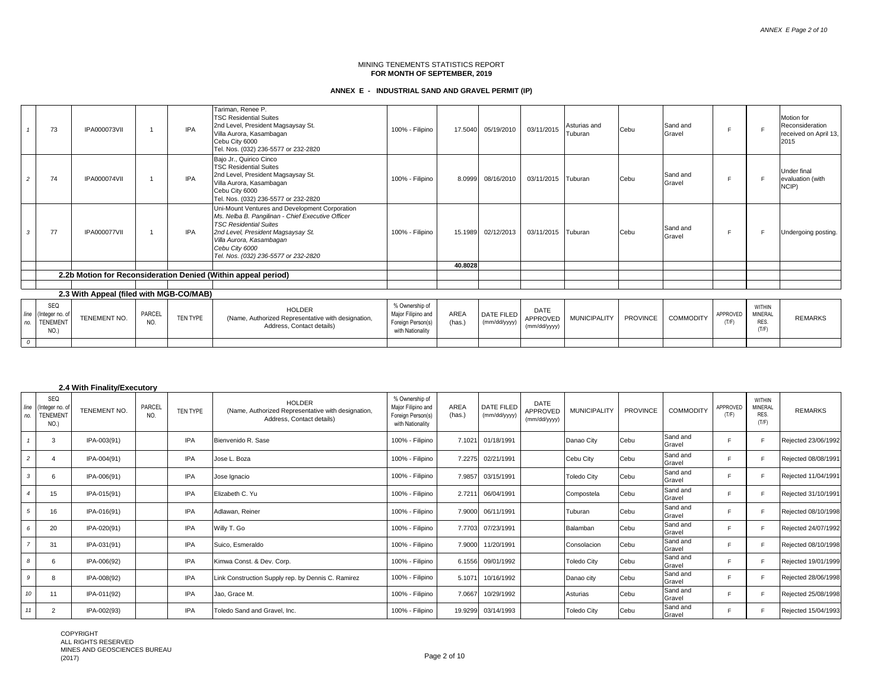# **ANNEX E - INDUSTRIAL SAND AND GRAVEL PERMIT (IP)**

|               | 73                                                | <b>IPA000073VII</b>                     |               | <b>IPA</b> | Tariman, Renee P.<br><b>TSC Residential Suites</b><br>2nd Level, President Magsaysay St.<br>Villa Aurora, Kasambagan<br>Cebu City 6000<br>Tel. Nos. (032) 236-5577 or 232-2820                                                                                   | 100% - Filipino                                                               | 17.5040        | 05/19/2010                 | 03/11/2015                       | Asturias and<br>Tuburan | Cebu            | Sand and<br>Gravel |                   |                                                  | Motion for<br>Reconsideration<br>received on April 13,<br>2015 |
|---------------|---------------------------------------------------|-----------------------------------------|---------------|------------|------------------------------------------------------------------------------------------------------------------------------------------------------------------------------------------------------------------------------------------------------------------|-------------------------------------------------------------------------------|----------------|----------------------------|----------------------------------|-------------------------|-----------------|--------------------|-------------------|--------------------------------------------------|----------------------------------------------------------------|
|               | 74                                                | <b>IPA000074VII</b>                     |               | <b>IPA</b> | Bajo Jr., Quirico Cinco<br><b>TSC Residential Suites</b><br>2nd Level, President Magsaysay St.<br>Villa Aurora, Kasambagan<br>Cebu City 6000<br>Tel. Nos. (032) 236-5577 or 232-2820                                                                             | 100% - Filipino                                                               | 8.0999         | 08/16/2010                 | 03/11/2015 Tuburan               |                         | Cebu            | Sand and<br>Gravel |                   |                                                  | Under final<br>evaluation (with<br>NCIP)                       |
| 3             | 77                                                | <b>IPA000077VII</b>                     |               | <b>IPA</b> | Uni-Mount Ventures and Development Corporation<br>Ms. Nelba B. Pangilinan - Chief Executive Officer<br><b>TSC Residential Suites</b><br>2nd Level, President Magsaysay St.<br>Villa Aurora, Kasambagan<br>Cebu City 6000<br>Tel. Nos. (032) 236-5577 or 232-2820 | 100% - Filipino                                                               | 15.1989        | 02/12/2013                 | 03/11/2015 Tuburan               |                         | Cebu            | Sand and<br>Gravel |                   |                                                  | Undergoing posting.                                            |
|               |                                                   |                                         |               |            |                                                                                                                                                                                                                                                                  |                                                                               | 40.8028        |                            |                                  |                         |                 |                    |                   |                                                  |                                                                |
|               |                                                   |                                         |               |            | 2.2b Motion for Reconsideration Denied (Within appeal period)                                                                                                                                                                                                    |                                                                               |                |                            |                                  |                         |                 |                    |                   |                                                  |                                                                |
|               |                                                   |                                         |               |            |                                                                                                                                                                                                                                                                  |                                                                               |                |                            |                                  |                         |                 |                    |                   |                                                  |                                                                |
|               |                                                   | 2.3 With Appeal (filed with MGB-CO/MAB) |               |            |                                                                                                                                                                                                                                                                  |                                                                               |                |                            |                                  |                         |                 |                    |                   |                                                  |                                                                |
| line<br>no.   | SEQ<br>(Integer no. of<br><b>TENEMENT</b><br>NO.) | TENEMENT NO.                            | PARCEL<br>NO. | TEN TYPE   | <b>HOLDER</b><br>(Name, Authorized Representative with designation,<br>Address, Contact details)                                                                                                                                                                 | % Ownership of<br>Major Filipino and<br>Foreign Person(s)<br>with Nationality | AREA<br>(has.) | DATE FILED<br>(mm/dd/yyyy) | DATE<br>APPROVED<br>(mm/dd/yyyy) | <b>MUNICIPALITY</b>     | <b>PROVINCE</b> | <b>COMMODITY</b>   | APPROVED<br>(T/F) | <b>WITHIN</b><br><b>MINERAL</b><br>RES.<br>(T/F) | <b>REMARKS</b>                                                 |
| $\mathcal{O}$ |                                                   |                                         |               |            |                                                                                                                                                                                                                                                                  |                                                                               |                |                            |                                  |                         |                 |                    |                   |                                                  |                                                                |

#### **2.4 With Finality/Executory**

| line<br>no.    | SEQ<br>(Integer no. of<br><b>TENEMENT</b><br>NO.) | TENEMENT NO. | PARCEL<br>NO. | TEN TYPE   | <b>HOLDER</b><br>(Name, Authorized Representative with designation,<br>Address, Contact details) | % Ownership of<br>Major Filipino and<br>Foreign Person(s)<br>with Nationality | AREA<br>(has.) | <b>DATE FILED</b><br>(mm/dd/yyyy) | DATE<br>APPROVED<br>(mm/dd/yyyy) | <b>MUNICIPALITY</b> | <b>PROVINCE</b> | <b>COMMODITY</b>   | APPROVED<br>(T/F) | <b>WITHIN</b><br><b>MINERAL</b><br><b>RES</b><br>(T/F) | <b>REMARKS</b>      |
|----------------|---------------------------------------------------|--------------|---------------|------------|--------------------------------------------------------------------------------------------------|-------------------------------------------------------------------------------|----------------|-----------------------------------|----------------------------------|---------------------|-----------------|--------------------|-------------------|--------------------------------------------------------|---------------------|
|                | 3                                                 | IPA-003(91)  |               | <b>IPA</b> | Bienvenido R. Sase                                                                               | 100% - Filipino                                                               | 7.1021         | 01/18/1991                        |                                  | Danao City          | Cebu            | Sand and<br>Gravel | F                 |                                                        | Rejected 23/06/1992 |
| $\overline{c}$ |                                                   | IPA-004(91)  |               | <b>IPA</b> | Jose L. Boza                                                                                     | 100% - Filipino                                                               | 7.2275         | 02/21/1991                        |                                  | Cebu City           | <b>Cebu</b>     | Sand and<br>Gravel | F                 |                                                        | Rejected 08/08/1991 |
| 3              | 6                                                 | IPA-006(91)  |               | <b>IPA</b> | Jose Ignacio                                                                                     | 100% - Filipino                                                               | 7.9857         | 03/15/1991                        |                                  | <b>Toledo City</b>  | Cebu            | Sand and<br>Gravel |                   |                                                        | Rejected 11/04/1991 |
|                | 15                                                | IPA-015(91)  |               | <b>IPA</b> | Elizabeth C. Yu                                                                                  | 100% - Filipino                                                               | 2.7211         | 06/04/1991                        |                                  | Compostela          | Cebu            | Sand and<br>Gravel | E.                |                                                        | Rejected 31/10/1991 |
| 5              | 16                                                | IPA-016(91)  |               | <b>IPA</b> | Adlawan, Reiner                                                                                  | 100% - Filipino                                                               |                | 7.9000 06/11/1991                 |                                  | Tuburan             | Cebu            | Sand and<br>Gravel | F                 |                                                        | Rejected 08/10/1998 |
| 6              | 20                                                | IPA-020(91)  |               | IPA        | Willy T. Go                                                                                      | 100% - Filipino                                                               | 7.7703         | 07/23/1991                        |                                  | Balamban            | Cebu            | Sand and<br>Gravel | F                 |                                                        | Rejected 24/07/1992 |
|                | 31                                                | IPA-031(91)  |               | <b>IPA</b> | Suico, Esmeraldo                                                                                 | 100% - Filipino                                                               | 7.9000         | 11/20/1991                        |                                  | Consolacion         | Cebu            | Sand and<br>Gravel | F                 |                                                        | Rejected 08/10/1998 |
| 8              | 6                                                 | IPA-006(92)  |               | IPA        | Kimwa Const. & Dev. Corp.                                                                        | 100% - Filipino                                                               | 6.1556         | 09/01/1992                        |                                  | <b>Toledo City</b>  | Cebu            | Sand and<br>Gravel |                   |                                                        | Rejected 19/01/1999 |
| 9              | 8                                                 | IPA-008(92)  |               | IPA        | Link Construction Supply rep. by Dennis C. Ramirez                                               | 100% - Filipino                                                               | 5.1071         | 10/16/1992                        |                                  | Danao city          | Cebu            | Sand and<br>Gravel | F                 |                                                        | Rejected 28/06/1998 |
| 10             | 11                                                | IPA-011(92)  |               | IPA        | Jao, Grace M.                                                                                    | 100% - Filipino                                                               | 7.0667         | 10/29/1992                        |                                  | Asturias            | Cebu            | Sand and<br>Gravel | F                 | c                                                      | Rejected 25/08/1998 |
| 11             | $\overline{2}$                                    | IPA-002(93)  |               | IPA        | Toledo Sand and Gravel, Inc.                                                                     | 100% - Filipino                                                               | 19.9299        | 03/14/1993                        |                                  | <b>Toledo City</b>  | Cebu            | Sand and<br>Gravel |                   |                                                        | Rejected 15/04/1993 |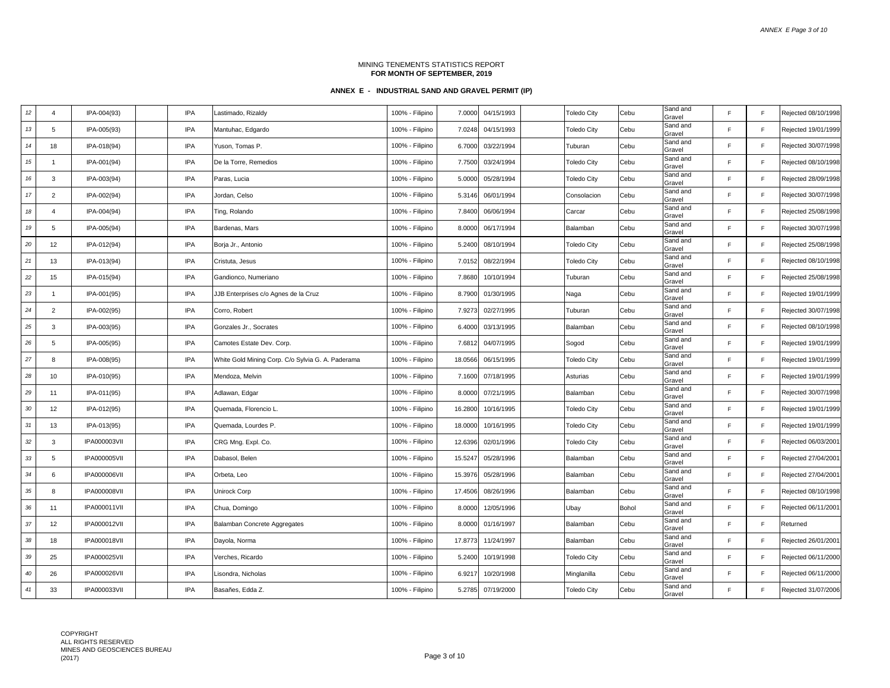| $12\,$ | 4                       | IPA-004(93)         | IPA        | Lastimado, Rizaldy                                | 100% - Filipino | 7.0000  | 04/15/1993        | <b>Toledo City</b> | Cebu  | Sand and<br>Gravel | E            | F           | Rejected 08/10/1998 |
|--------|-------------------------|---------------------|------------|---------------------------------------------------|-----------------|---------|-------------------|--------------------|-------|--------------------|--------------|-------------|---------------------|
| 13     | 5                       | IPA-005(93)         | IPA        | Mantuhac, Edgardo                                 | 100% - Filipino | 7.0248  | 04/15/1993        | <b>Toledo City</b> | Cebu  | Sand and<br>Gravel | E            | F           | Rejected 19/01/1999 |
| 14     | 18                      | IPA-018(94)         | IPA        | Yuson, Tomas P.                                   | 100% - Filipino | 6.7000  | 03/22/1994        | Tuburan            | Cebu  | Sand and<br>Gravel | E            | F           | Rejected 30/07/1998 |
| 15     | $\mathbf{1}$            | IPA-001(94)         | IPA        | De la Torre, Remedios                             | 100% - Filipino | 7.7500  | 03/24/1994        | <b>Toledo City</b> | Cebu  | Sand and<br>Gravel | $\mathsf{F}$ | F           | Rejected 08/10/1998 |
| $16\,$ | 3                       | IPA-003(94)         | IPA        | Paras, Lucia                                      | 100% - Filipino | 5.0000  | 05/28/1994        | <b>Toledo City</b> | Cebu  | Sand and<br>Gravel | F            | F           | Rejected 28/09/1998 |
| $17$   | $\overline{2}$          | IPA-002(94)         | IPA        | Jordan, Celso                                     | 100% - Filipino | 5.3146  | 06/01/1994        | Consolacion        | Cebu  | Sand and<br>Gravel | E            | F           | Rejected 30/07/1998 |
| 18     | $\overline{\mathbf{A}}$ | IPA-004(94)         | IPA        | Ting, Rolando                                     | 100% - Filipino | 7.8400  | 06/06/1994        | Carcar             | Cebu  | Sand and<br>Gravel | F            | F           | Rejected 25/08/1998 |
| 19     | 5                       | IPA-005(94)         | IPA        | Bardenas, Mars                                    | 100% - Filipino | 8.0000  | 06/17/1994        | Balamban           | Cebu  | Sand and<br>Gravel | E            | F           | Rejected 30/07/1998 |
| 20     | 12                      | IPA-012(94)         | IPA        | Borja Jr., Antonio                                | 100% - Filipino | 5.2400  | 08/10/1994        | <b>Toledo City</b> | Cebu  | Sand and<br>Gravel | F            | F           | Rejected 25/08/1998 |
| 21     | 13                      | IPA-013(94)         | IPA        | Cristuta, Jesus                                   | 100% - Filipino | 7.0152  | 08/22/1994        | <b>Toledo City</b> | Cebu  | Sand and<br>Gravel | F            | F           | Rejected 08/10/1998 |
| 22     | 15                      | IPA-015(94)         | IPA        | Gandionco, Numeriano                              | 100% - Filipino | 7.8680  | 10/10/1994        | Tuburan            | Cebu  | Sand and<br>Gravel | E            | F           | Rejected 25/08/1998 |
| 23     | 1                       | IPA-001(95)         | IPA        | JJB Enterprises c/o Agnes de la Cruz              | 100% - Filipino | 8.7900  | 01/30/1995        | Naga               | Cebu  | Sand and<br>Gravel | E            | F           | Rejected 19/01/1999 |
| 24     | $\overline{2}$          | IPA-002(95)         | IPA        | Corro, Robert                                     | 100% - Filipino | 7.9273  | 02/27/1995        | Tuburan            | Cebu  | Sand and<br>Gravel | E            | F           | Rejected 30/07/1998 |
| 25     | 3                       | IPA-003(95)         | IPA        | Gonzales Jr., Socrates                            | 100% - Filipino | 6.4000  | 03/13/1995        | Balamban           | Cebu  | Sand and<br>Gravel | E            | F           | Rejected 08/10/1998 |
| 26     | 5                       | IPA-005(95)         | IPA        | Camotes Estate Dev. Corp.                         | 100% - Filipino | 7.6812  | 04/07/1995        | Sogod              | Cebu  | Sand and<br>Gravel | E            | F.          | Rejected 19/01/1999 |
| 27     | 8                       | IPA-008(95)         | IPA        | White Gold Mining Corp. C/o Sylvia G. A. Paderama | 100% - Filipino | 18.0566 | 06/15/1995        | <b>Toledo City</b> | Cebu  | Sand and<br>Gravel | E            | F           | Rejected 19/01/1999 |
| 28     | 10                      | IPA-010(95)         | IPA        | Mendoza, Melvin                                   | 100% - Filipino |         | 7.1600 07/18/1995 | Asturias           | Cebu  | Sand and<br>Gravel | E            | F.          | Rejected 19/01/1999 |
| 29     | 11                      | IPA-011(95)         | IPA        | Adlawan, Edgar                                    | 100% - Filipino | 8.0000  | 07/21/1995        | Balamban           | Cebu  | Sand and<br>Gravel | E            | F           | Rejected 30/07/1998 |
| $30\,$ | 12                      | IPA-012(95)         | IPA        | Quemada, Florencio L.                             | 100% - Filipino | 16.2800 | 10/16/1995        | <b>Toledo City</b> | Cebu  | Sand and<br>Gravel | E            | F           | Rejected 19/01/1999 |
| 31     | 13                      | IPA-013(95)         | IPA        | Quemada, Lourdes P.                               | 100% - Filipino | 18.0000 | 10/16/1995        | <b>Toledo City</b> | Cebu  | Sand and<br>Gravel | E            | F           | Rejected 19/01/1999 |
| $32\,$ | 3                       | <b>IPA000003VII</b> | IPA        | CRG Mng. Expl. Co.                                | 100% - Filipino | 12.6396 | 02/01/1996        | <b>Toledo City</b> | Cebu  | Sand and<br>Gravel | E            | F           | Rejected 06/03/2001 |
| 33     | 5                       | <b>IPA000005VII</b> | IPA        | Dabasol, Belen                                    | 100% - Filipino | 15.5247 | 05/28/1996        | Balamban           | Cebu  | Sand and<br>Gravel | E            | F           | Rejected 27/04/2001 |
| $34\,$ | 6                       | <b>IPA000006VII</b> | IPA        | Orbeta, Leo                                       | 100% - Filipino | 15.3976 | 05/28/1996        | Balamban           | Cebu  | Sand and<br>Gravel | E            | F           | Rejected 27/04/2001 |
| $35\,$ | 8                       | <b>IPA000008VII</b> | IPA        | Unirock Corp                                      | 100% - Filipino | 17.4506 | 08/26/1996        | Balamban           | Cebu  | Sand and<br>Gravel | E            | F           | Rejected 08/10/1998 |
| $36\,$ | 11                      | IPA000011VII        | IPA        | Chua, Domingo                                     | 100% - Filipino | 8.0000  | 12/05/1996        | Ubay               | Bohol | Sand and<br>Gravel | E            | F           | Rejected 06/11/2001 |
| $37\,$ | 12                      | IPA000012VII        | IPA        | Balamban Concrete Aggregates                      | 100% - Filipino | 8.0000  | 01/16/1997        | Balamban           | Cebu  | Sand and<br>Gravel | E            | F           | Returned            |
| $38\,$ | 18                      | <b>IPA000018VII</b> | IPA        | Dayola, Norma                                     | 100% - Filipino | 17.8773 | 11/24/1997        | Balamban           | Cebu  | Sand and<br>Gravel | E            | F           | Rejected 26/01/2001 |
| $39\,$ | 25                      | IPA000025VII        | IPA        | Verches, Ricardo                                  | 100% - Filipino | 5.2400  | 10/19/1998        | <b>Toledo City</b> | Cebu  | Sand and<br>Gravel | E            | F           | Rejected 06/11/2000 |
| $40\,$ | 26                      | <b>IPA000026VII</b> | IPA        | Lisondra, Nicholas                                | 100% - Filipino | 6.9217  | 10/20/1998        | Minglanilla        | Cebu  | Sand and<br>Gravel | E            | F           | Rejected 06/11/2000 |
| 41     | 33                      | <b>IPA000033VII</b> | <b>IPA</b> | Basañes, Edda Z.                                  | 100% - Filipino |         | 5.2785 07/19/2000 | <b>Toledo City</b> | Cebu  | Sand and<br>Gravel | F            | $\mathsf F$ | Rejected 31/07/2006 |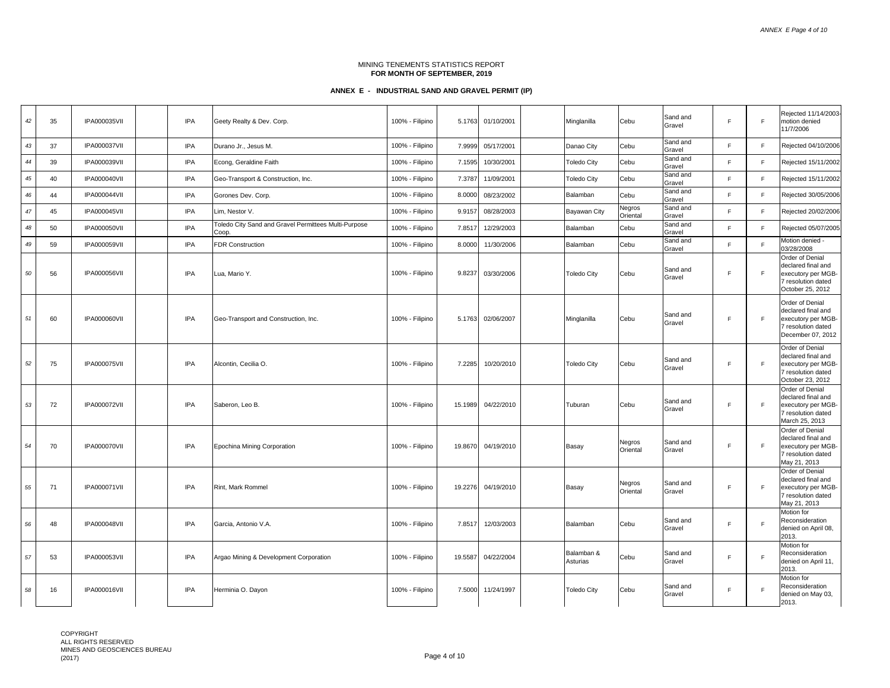*ANNEX E Page 4 of 10*

#### MINING TENEMENTS STATISTICS REPORT **FOR MONTH OF SEPTEMBER, 2019**

| 42     | 35 | <b>IPA000035VII</b> | <b>IPA</b> | Geety Realty & Dev. Corp.                                     | 100% - Filipino | 5.1763  | 01/10/2001 | Minglanilla            | Cebu               | Sand and<br>Gravel | F. | F | Rejected 11/14/2003-<br>motion denied<br>11/7/2006                                                           |
|--------|----|---------------------|------------|---------------------------------------------------------------|-----------------|---------|------------|------------------------|--------------------|--------------------|----|---|--------------------------------------------------------------------------------------------------------------|
| 43     | 37 | <b>IPA000037VII</b> | IPA        | Durano Jr., Jesus M.                                          | 100% - Filipino | 7.9999  | 05/17/2001 | Danao City             | Cebu               | Sand and<br>Gravel | F. | F | Rejected 04/10/2006                                                                                          |
| 44     | 39 | <b>IPA000039VII</b> | <b>IPA</b> | Econg, Geraldine Faith                                        | 100% - Filipino | 7.1595  | 10/30/2001 | <b>Toledo City</b>     | Cebu               | Sand and<br>Gravel | F. | F | Rejected 15/11/2002                                                                                          |
| 45     | 40 | <b>IPA000040VII</b> | IPA        | Geo-Transport & Construction, Inc.                            | 100% - Filipino | 7.3787  | 11/09/2001 | <b>Toledo City</b>     | Cebu               | Sand and<br>Gravel | F. | F | Rejected 15/11/2002                                                                                          |
| 46     | 44 | <b>IPA000044VII</b> | <b>IPA</b> | Gorones Dev. Corp.                                            | 100% - Filipino | 8.0000  | 08/23/2002 | Balamban               | Cebu               | Sand and<br>Gravel | F. | F | Rejected 30/05/2006                                                                                          |
| $47\,$ | 45 | <b>IPA000045VII</b> | IPA        | Lim, Nestor V.                                                | 100% - Filipino | 9.9157  | 08/28/2003 | Bayawan City           | Negros<br>Oriental | Sand and<br>Gravel | F. | F | Rejected 20/02/2006                                                                                          |
| 48     | 50 | <b>IPA000050VII</b> | <b>IPA</b> | Toledo City Sand and Gravel Permittees Multi-Purpose<br>Coop. | 100% - Filipino | 7.8517  | 12/29/2003 | Balamban               | Cebu               | Sand and<br>Gravel | F. | F | Rejected 05/07/2005                                                                                          |
| 49     | 59 | <b>IPA000059VII</b> | IPA        | <b>FDR Construction</b>                                       | 100% - Filipino | 8.0000  | 11/30/2006 | Balamban               | Cebu               | Sand and<br>Gravel | E  | E | Motion denied -<br>03/28/2008                                                                                |
| 50     | 56 | <b>IPA000056VII</b> | <b>IPA</b> | Lua, Mario Y.                                                 | 100% - Filipino | 9.8237  | 03/30/2006 | <b>Toledo City</b>     | Cebu               | Sand and<br>Gravel | F. | F | Order of Denial<br>declared final and<br>executory per MGB-<br>7 resolution dated<br>October 25, 2012        |
| 51     | 60 | <b>IPA000060VII</b> | <b>IPA</b> | Geo-Transport and Construction, Inc.                          | 100% - Filipino | 5.1763  | 02/06/2007 | Minglanilla            | Cebu               | Sand and<br>Gravel | F. | F | Order of Denial<br>declared final and<br>executory per MGB-<br>7 resolution dated<br>December 07, 2012       |
| 52     | 75 | <b>IPA000075VII</b> | <b>IPA</b> | Alcontin, Cecilia O.                                          | 100% - Filipino | 7.2285  | 10/20/2010 | <b>Toledo City</b>     | Cebu               | Sand and<br>Gravel | E  | F | <b>Order of Denial</b><br>declared final and<br>executory per MGB-<br>7 resolution dated<br>October 23, 2012 |
| 53     | 72 | <b>IPA000072VII</b> | <b>IPA</b> | Saberon, Leo B.                                               | 100% - Filipino | 15.1989 | 04/22/2010 | Tuburan                | Cebu               | Sand and<br>Gravel | F. | F | Order of Denial<br>declared final and<br>executory per MGB-<br>7 resolution dated<br>March 25, 2013          |
| 54     | 70 | <b>IPA000070VII</b> | <b>IPA</b> | Epochina Mining Corporation                                   | 100% - Filipino | 19.8670 | 04/19/2010 | Basay                  | Negros<br>Oriental | Sand and<br>Gravel | F. | F | Order of Denial<br>declared final and<br>executory per MGB-<br>7 resolution dated<br>May 21, 2013            |
| 55     | 71 | <b>IPA000071VII</b> | <b>IPA</b> | Rint, Mark Rommel                                             | 100% - Filipino | 19.2276 | 04/19/2010 | Basay                  | Negros<br>Oriental | Sand and<br>Gravel | F. | F | Order of Denial<br>declared final and<br>executory per MGB-<br>7 resolution dated<br>May 21, 2013            |
| 56     | 48 | <b>IPA000048VII</b> | <b>IPA</b> | Garcia. Antonio V.A.                                          | 100% - Filipino | 7.8517  | 12/03/2003 | Balamban               | Cebu               | Sand and<br>Gravel | F. | F | Motion for<br>Reconsideration<br>denied on April 08,<br>2013.                                                |
| 57     | 53 | <b>IPA000053VII</b> | <b>IPA</b> | Argao Mining & Development Corporation                        | 100% - Filipino | 19.5587 | 04/22/2004 | Balamban &<br>Asturias | Cebu               | Sand and<br>Gravel | F. | F | Motion for<br>Reconsideration<br>denied on April 11,<br>2013.                                                |
| 58     | 16 | <b>IPA000016VII</b> | IPA        | Herminia O. Dayon                                             | 100% - Filipino | 7.5000  | 11/24/1997 | <b>Toledo City</b>     | Cebu               | Sand and<br>Gravel | F  | F | Motion for<br>Reconsideration<br>denied on May 03,<br>2013.                                                  |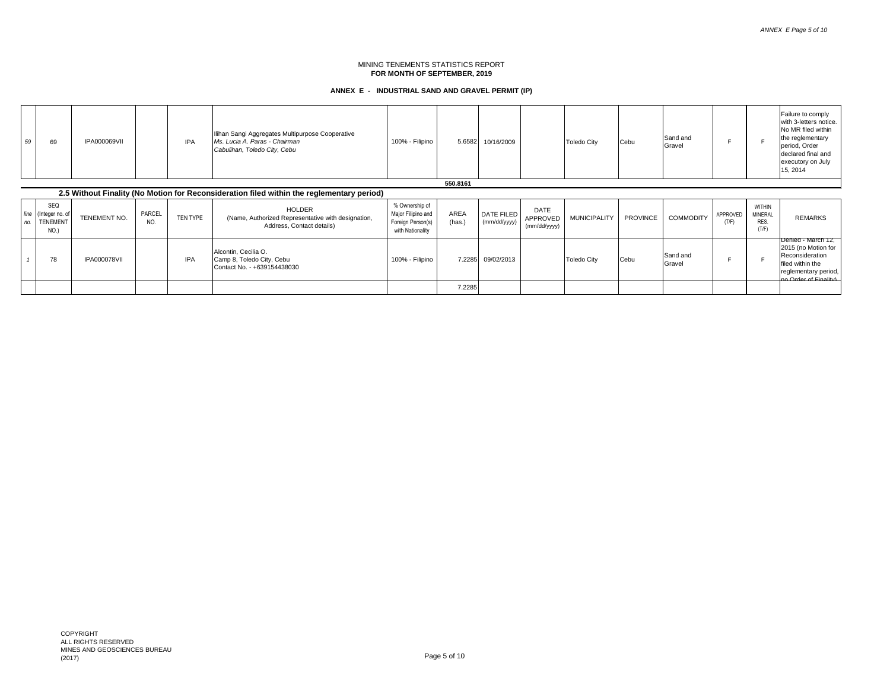| 59          | 69                                                | <b>IPA000069VII</b> |               | <b>IPA</b> | Ilihan Sangi Aggregates Multipurpose Cooperative<br>Ms. Lucia A. Paras - Chairman<br>Cabulihan, Toledo City, Cebu | 100% - Filipino                                                               | 5.6582         | 10/16/2009                 |                                  | <b>Toledo City</b>  | <b>Cebu</b>     | Sand and<br>Gravel |                   |                                           | Failure to comply<br>with 3-letters notice.<br>No MR filed within<br>the reglementary<br>period, Order<br>declared final and<br>executory on July<br>15, 2014 |
|-------------|---------------------------------------------------|---------------------|---------------|------------|-------------------------------------------------------------------------------------------------------------------|-------------------------------------------------------------------------------|----------------|----------------------------|----------------------------------|---------------------|-----------------|--------------------|-------------------|-------------------------------------------|---------------------------------------------------------------------------------------------------------------------------------------------------------------|
|             |                                                   |                     |               |            |                                                                                                                   |                                                                               | 550.8161       |                            |                                  |                     |                 |                    |                   |                                           |                                                                                                                                                               |
|             |                                                   |                     |               |            | 2.5 Without Finality (No Motion for Reconsideration filed within the reglementary period)                         |                                                                               |                |                            |                                  |                     |                 |                    |                   |                                           |                                                                                                                                                               |
| line<br>no. | SEQ<br>(Integer no. of<br><b>TENEMENT</b><br>NO.) | TENEMENT NO.        | PARCEL<br>NO. | TEN TYPE   | <b>HOLDER</b><br>(Name, Authorized Representative with designation,<br>Address, Contact details)                  | % Ownership of<br>Major Filipino and<br>Foreign Person(s)<br>with Nationality | AREA<br>(has.) | DATE FILED<br>(mm/dd/yyyy) | DATE<br>APPROVED<br>(mm/dd/yyyy) | <b>MUNICIPALITY</b> | <b>PROVINCE</b> | <b>COMMODITY</b>   | APPROVED<br>(T/F) | <b>WITHIN</b><br>MINERAL<br>RES.<br>(T/F) | <b>REMARKS</b>                                                                                                                                                |
|             | 78                                                | <b>IPA000078VII</b> |               | <b>IPA</b> | Alcontin, Cecilia O.<br>Camp 8, Toledo City, Cebu<br>Contact No. - +639154438030                                  | 100% - Filipino                                                               | 7.2285         | 09/02/2013                 |                                  | <b>Toledo City</b>  | <b>Cebu</b>     | Sand and<br>Gravel |                   |                                           | Denied - March 12,<br>2015 (no Motion for<br>Reconsideration<br>filed within the<br>reglementary period,<br>no Order of Finality)                             |
|             |                                                   |                     |               |            |                                                                                                                   |                                                                               | 7.2285         |                            |                                  |                     |                 |                    |                   |                                           |                                                                                                                                                               |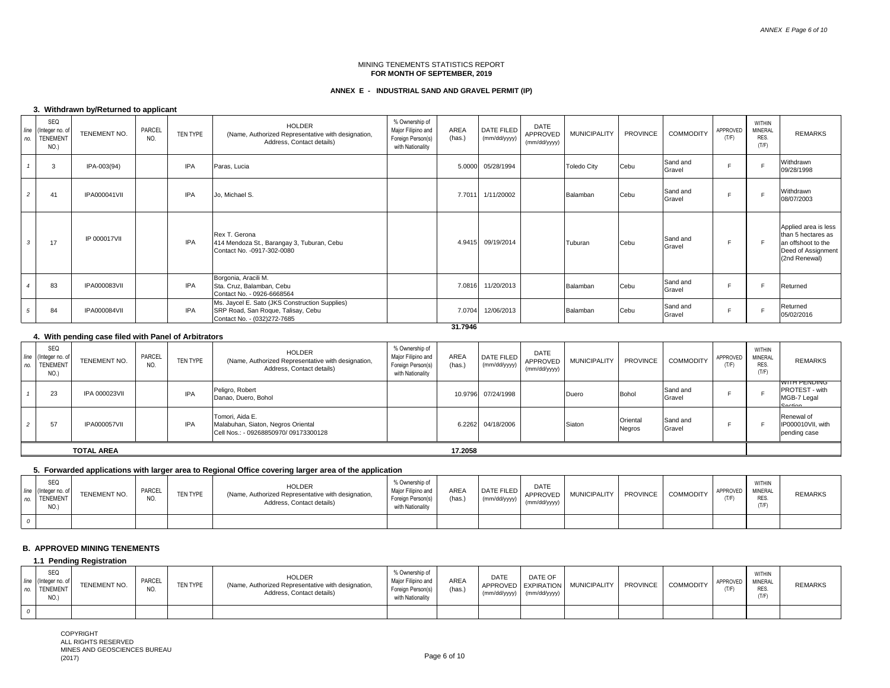# **ANNEX E - INDUSTRIAL SAND AND GRAVEL PERMIT (IP)**

# **3. Withdrawn by/Returned to applicant**

| line<br>no.    | SEQ<br>(Integer no. of<br><b>TENEMENT</b><br>NO.) | TENEMENT NO.        | PARCEL<br>NO. | TEN TYPE   | HOLDER<br>(Name, Authorized Representative with designation,<br>Address, Contact details)                           | % Ownership of<br>Major Filipino and<br>Foreign Person(s)<br>with Nationality | AREA<br>(has.) | DATE FILED<br>(mm/dd/yyyy) | DATE<br>APPROVED<br>(mm/dd/yyyy) | <b>MUNICIPALITY</b> | <b>PROVINCE</b> | <b>COMMODITY</b>   | APPROVED<br>(T/F) | WITHIN<br><b>MINERAL</b><br>RES.<br>(T/F) | <b>REMARKS</b>                                                                                          |
|----------------|---------------------------------------------------|---------------------|---------------|------------|---------------------------------------------------------------------------------------------------------------------|-------------------------------------------------------------------------------|----------------|----------------------------|----------------------------------|---------------------|-----------------|--------------------|-------------------|-------------------------------------------|---------------------------------------------------------------------------------------------------------|
|                | 3                                                 | IPA-003(94)         |               | <b>IPA</b> | Paras, Lucia                                                                                                        |                                                                               |                | 5.0000 05/28/1994          |                                  | <b>Toledo City</b>  | Cebu            | Sand and<br>Gravel | $\blacksquare$    | е                                         | Withdrawn<br>09/28/1998                                                                                 |
| $\mathfrak{p}$ | 41                                                | <b>IPA000041VII</b> |               | <b>IPA</b> | Jo. Michael S.                                                                                                      |                                                                               | 7.7011         | 1/11/20002                 |                                  | Balamban            | Cebu            | Sand and<br>Gravel |                   | c                                         | Withdrawn<br>08/07/2003                                                                                 |
| 3              | 17                                                | IP 000017VII        |               | <b>IPA</b> | Rex T. Gerona<br>414 Mendoza St., Barangay 3, Tuburan, Cebu<br>Contact No. -0917-302-0080                           |                                                                               |                | 4.9415 09/19/2014          |                                  | Tuburan             | Cebu            | Sand and<br>Gravel |                   | E                                         | Applied area is less<br>than 5 hectares as<br>an offshoot to the<br>Deed of Assignment<br>(2nd Renewal) |
|                | 83                                                | <b>IPA000083VII</b> |               | <b>IPA</b> | Borgonia, Aracili M.<br>Sta. Cruz, Balamban, Cebu<br>Contact No. - 0926-6668564                                     |                                                                               | 7.0816         | 11/20/2013                 |                                  | Balamban            | Cebu            | Sand and<br>Gravel |                   |                                           | Returned                                                                                                |
| 5              | 84                                                | <b>IPA000084VII</b> |               | <b>IPA</b> | Ms. Jaycel E. Sato (JKS Construction Supplies)<br>SRP Road, San Roque, Talisay, Cebu<br>Contact No. - (032)272-7685 |                                                                               | 7.0704         | 12/06/2013                 |                                  | Balamban            | Cebu            | Sand and<br>Gravel |                   | ÷                                         | Returned<br>05/02/2016                                                                                  |

#### **31.7946**

|                |                                                 | 4. With pending case filed with Panel of Arbitrators |               |            |                                                                                                  |                                                                               |                |                            |                                  |                     |                    |                    |                   |                                    |                                                                                |
|----------------|-------------------------------------------------|------------------------------------------------------|---------------|------------|--------------------------------------------------------------------------------------------------|-------------------------------------------------------------------------------|----------------|----------------------------|----------------------------------|---------------------|--------------------|--------------------|-------------------|------------------------------------|--------------------------------------------------------------------------------|
| no.            | SEQ<br>line (Integer no. of<br>TENEMENT<br>NO.) | TENEMENT NO.                                         | PARCEL<br>NO. | TEN TYPE   | <b>HOLDER</b><br>(Name, Authorized Representative with designation,<br>Address, Contact details) | % Ownership of<br>Major Filipino and<br>Foreign Person(s)<br>with Nationality | AREA<br>(has.) | DATE FILED<br>(mm/dd/yyyy) | DATE<br>APPROVED<br>(mm/dd/yyyy) | <b>MUNICIPALITY</b> | <b>PROVINCE</b>    | <b>COMMODITY</b>   | APPROVED<br>(T/F) | WITHIN<br>MINERAL<br>RES.<br>(T/F) | <b>REMARKS</b>                                                                 |
|                | 23                                              | <b>IPA 000023VII</b>                                 |               | <b>IPA</b> | Peligro, Robert<br>Danao, Duero, Bohol                                                           |                                                                               |                | 10.9796 07/24/1998         |                                  | Duero               | Bohol              | Sand and<br>Gravel |                   |                                    | <b>WITH PENDING</b><br><b>IPROTEST - with</b><br>MGB-7 Legal<br><b>Section</b> |
| $\overline{c}$ | 57                                              | <b>IPA000057VII</b>                                  |               | <b>IPA</b> | Tomori, Aida E.<br>Malabuhan, Siaton, Negros Oriental<br>Cell Nos.: - 09268850970/ 09173300128   |                                                                               |                | 6.2262 04/18/2006          |                                  | Siaton              | Oriental<br>Negros | Sand and<br>Gravel |                   |                                    | Renewal of<br>IP000010VII. with<br>pending case                                |
|                | <b>TOTAL AREA</b><br>17.2058                    |                                                      |               |            |                                                                                                  |                                                                               |                |                            |                                  |                     |                    |                    |                   |                                    |                                                                                |

# **5. Forwarded applications with larger area to Regional Office covering larger area of the application**

| no. | SEQ<br>line (Integer no. of<br><b>TENEMENT</b><br>NO.) | TENEMENT NO. | PARCEL<br>NO. | TEN TYPE | <b>HOLDER</b><br>(Name, Authorized Representative with designation,<br>Address, Contact details) | % Ownership of<br>Major Filipino and<br>Foreign Person(s)<br>with Nationality | AREA<br>(has.) | DATE FILED<br>(mm/dd/yyyy) | DATE<br>APPROVED<br>(mm/dd/yyyy) | <b>MUNICIPALITY</b> | PROVINCE | <b>COMMODITY</b> | APPROVED<br>(T/F) | WITHIN<br>MINERAL<br><b>RES</b><br>(T/F) | <b>REMARKS</b> |
|-----|--------------------------------------------------------|--------------|---------------|----------|--------------------------------------------------------------------------------------------------|-------------------------------------------------------------------------------|----------------|----------------------------|----------------------------------|---------------------|----------|------------------|-------------------|------------------------------------------|----------------|
|     |                                                        |              |               |          |                                                                                                  |                                                                               |                |                            |                                  |                     |          |                  |                   |                                          |                |

#### **B. APPROVED MINING TENEMENTS**

# **1.1 Pending Registration**

| SEQ<br>line (Integer no. of<br><b>TENEMENT</b><br>NO.) | TENEMENT NO. | PARCEL | TEN TYPE | <b>HOLDER</b><br>(Name, Authorized Representative with designation,<br>Address, Contact details) | % Ownership of<br>Major Filipino and<br>Foreign Person(s)<br>with Nationality | AREA<br>(has.) | DATE | DATE OF<br>(mm/dd/yyyy) (mm/dd/yyyy) | APPROVED EXPIRATION MUNICIPALITY | PROVINCE | <b>COMMODITY</b> | APPROVED<br>T/F | <b>WITHIN</b><br>MINERAL<br>RES.<br>(T/F) | <b>REMARKS</b> |
|--------------------------------------------------------|--------------|--------|----------|--------------------------------------------------------------------------------------------------|-------------------------------------------------------------------------------|----------------|------|--------------------------------------|----------------------------------|----------|------------------|-----------------|-------------------------------------------|----------------|
|                                                        |              |        |          |                                                                                                  |                                                                               |                |      |                                      |                                  |          |                  |                 |                                           |                |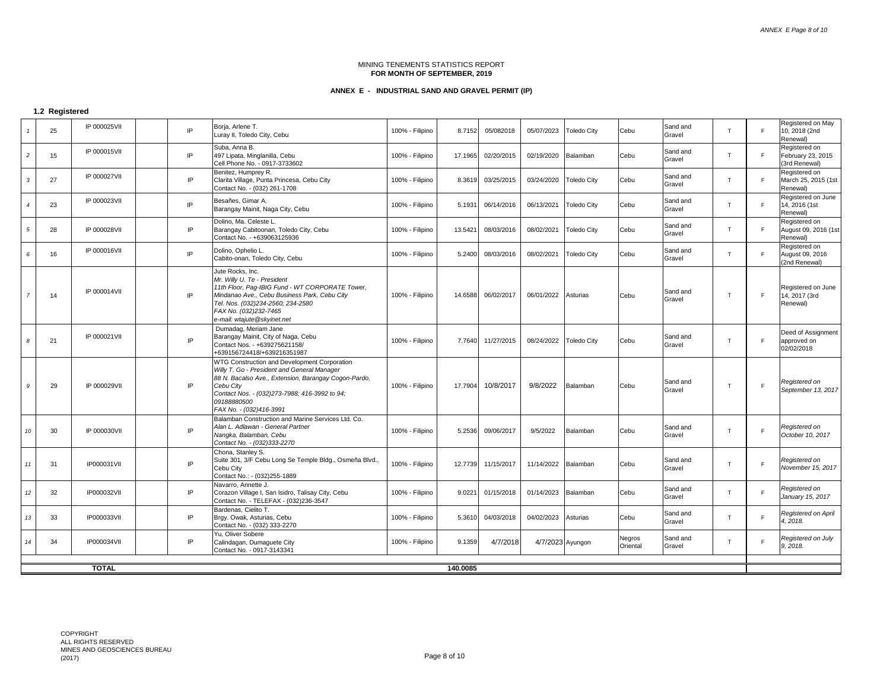# **ANNEX E - INDUSTRIAL SAND AND GRAVEL PERMIT (IP)**

# **1.2 Registered**

|                | 25                       | IP 000025VII       |  | IP | Borja, Arlene T.<br>Luray II, Toledo City, Cebu                                                                                                                                                                                                             | 100% - Filipino | 8.7152  | 05/082018  | 05/07/2023       | <b>Toledo City</b> | Cebu               | Sand and<br>Gravel | T            | E  | Registered on May<br>10, 2018 (2nd<br>Renewal)      |
|----------------|--------------------------|--------------------|--|----|-------------------------------------------------------------------------------------------------------------------------------------------------------------------------------------------------------------------------------------------------------------|-----------------|---------|------------|------------------|--------------------|--------------------|--------------------|--------------|----|-----------------------------------------------------|
| $\overline{c}$ | 15                       | IP 000015VII       |  | IP | Suba, Anna B.<br>497 Lipata, Minglanilla, Cebu<br>Cell Phone No. - 0917-3733602                                                                                                                                                                             | 100% - Filipino | 17.1965 | 02/20/2015 | 02/19/2020       | Balamban           | Cebu               | Sand and<br>Gravel | T.           | F  | Registered on<br>February 23, 2015<br>(3rd Renewal) |
| 3              | 27                       | IP 000027VII       |  | IP | Benitez, Humprey R.<br>Clarita Village, Punta Princesa, Cebu City<br>Contact No. - (032) 261-1708                                                                                                                                                           | 100% - Filipino | 8.3619  | 03/25/2015 | 03/24/2020       | <b>Toledo City</b> | Cebu               | Sand and<br>Gravel | T.           | F. | Registered on<br>March 25, 2015 (1st<br>Renewal)    |
| $\overline{4}$ | 23                       | IP 000023VII       |  | IP | Besañes, Gimar A.<br>Barangay Mainit, Naga City, Cebu                                                                                                                                                                                                       | 100% - Filipino | 5.1931  | 06/14/2016 | 06/13/2021       | <b>Toledo City</b> | Cebu               | Sand and<br>Gravel | T.           | F  | Registered on June<br>14, 2016 (1st<br>Renewal)     |
| 5              | 28                       | IP 000028VII       |  | IP | Dolino, Ma. Celeste L.<br>Barangay Cabitoonan, Toledo City, Cebu<br>Contact No. - +639063125936                                                                                                                                                             | 100% - Filipino | 13.5421 | 08/03/2016 | 08/02/2021       | <b>Toledo City</b> | Cebu               | Sand and<br>Gravel | T.           | F. | Registered on<br>August 09, 2016 (1st<br>Renewal)   |
| 6              | 16                       | IP 000016VII       |  | IP | Dolino, Ophelio L.<br>Cabito-onan, Toledo City, Cebu                                                                                                                                                                                                        | 100% - Filipino | 5.2400  | 08/03/2016 | 08/02/2021       | <b>Toledo City</b> | Cebu               | Sand and<br>Gravel | T.           | E  | Registered on<br>August 09, 2016<br>(2nd Renewal)   |
| $\overline{7}$ | 14                       | IP 000014VII       |  | IP | Jute Rocks, Inc.<br>Mr. Willy U. Te - President<br>11th Floor, Pag-IBIG Fund - WT CORPORATE Tower,<br>Mindanao Ave., Cebu Business Park, Cebu City<br>Tel. Nos. (032)234-2560; 234-2580<br>FAX No. (032)232-7465<br>e-mail: wtajute@skyinet.net             | 100% - Filipino | 14.6588 | 06/02/2017 | 06/01/2022       | Asturias           | Cebu               | Sand and<br>Gravel | $\mathsf{T}$ | E  | Registered on June<br>14, 2017 (3rd<br>Renewal)     |
| 8              | 21                       | IP 000021VII       |  | IP | Dumadag, Meriam Jane<br>Barangay Mainit, City of Naga, Cebu<br>Contact Nos. - +639275621158/<br>+639156724418/+639216351987                                                                                                                                 | 100% - Filipino | 7.7640  | 11/27/2015 | 08/24/2022       | <b>Toledo City</b> | Cebu               | Sand and<br>Gravel | T            | F  | Deed of Assignment<br>approved on<br>02/02/2018     |
| 9              | 29                       | IP 000029VII       |  | IP | WTG Construction and Development Corporation<br>Willy T. Go - President and General Manager<br>88 N. Bacalso Ave., Extension, Barangay Cogon-Pardo,<br>Cebu City<br>Contact Nos. - (032)273-7988; 416-3992 to 94;<br>09188880500<br>FAX No. - (032)416-3991 | 100% - Filipino | 17.7904 | 10/8/2017  | 9/8/2022         | Balamban           | Cebu               | Sand and<br>Gravel | T            | E  | Registered on<br>September 13, 2017                 |
| 10             | 30                       | IP 000030VII       |  | IP | Balamban Construction and Marine Services Ltd. Co.<br>Alan L. Adlawan - General Partner<br>Nangka, Balamban, Cebu<br>Contact No. - (032)333-2270                                                                                                            | 100% - Filipino | 5.2536  | 09/06/2017 | 9/5/2022         | Balamban           | Cebu               | Sand and<br>Gravel | T            | E  | Registered on<br>October 10, 2017                   |
| 11             | 31                       | <b>IP000031VII</b> |  | IP | Chona, Stanley S.<br>Suite 301, 3/F Cebu Long Se Temple Bldg., Osmeña Blvd.,<br>Cebu City<br>Contact No.: - (032)255-1889                                                                                                                                   | 100% - Filipino | 12.7739 | 11/15/2017 | 11/14/2022       | Balamban           | Cebu               | Sand and<br>Gravel | T            | E  | Registered on<br>November 15, 2017                  |
| 12             | 32                       | IP000032VII        |  | IP | Navarro, Annette J.<br>Corazon Village I, San Isidro, Talisay City, Cebu<br>Contact No. - TELEFAX - (032)236-3547                                                                                                                                           | 100% - Filipino | 9.0221  | 01/15/2018 | 01/14/2023       | Balamban           | Cebu               | Sand and<br>Gravel | T            | F  | Registered on<br>January 15, 2017                   |
| 13             | 33                       | IP000033VII        |  | IP | Bardenas, Cielito T.<br>Brgy. Owak, Asturias, Cebu<br>Contact No. - (032) 333-2270                                                                                                                                                                          | 100% - Filipino | 5.3610  | 04/03/2018 | 04/02/2023       | Asturias           | Cebu               | Sand and<br>Gravel | $\mathsf{T}$ | E  | Registered on April<br>4, 2018.                     |
| 14             | 34                       | <b>IP000034VII</b> |  | IP | Yu, Oliver Sobere<br>Calindagan, Dumaguete City<br>Contact No. - 0917-3143341                                                                                                                                                                               | 100% - Filipino | 9.1359  | 4/7/2018   | 4/7/2023 Ayungon |                    | Negros<br>Oriental | Sand and<br>Gravel | T            | E  | Registered on July<br>9, 2018.                      |
|                |                          |                    |  |    |                                                                                                                                                                                                                                                             |                 |         |            |                  |                    |                    |                    |              |    |                                                     |
|                | <b>TOTAL</b><br>140.0085 |                    |  |    |                                                                                                                                                                                                                                                             |                 |         |            |                  |                    |                    |                    |              |    |                                                     |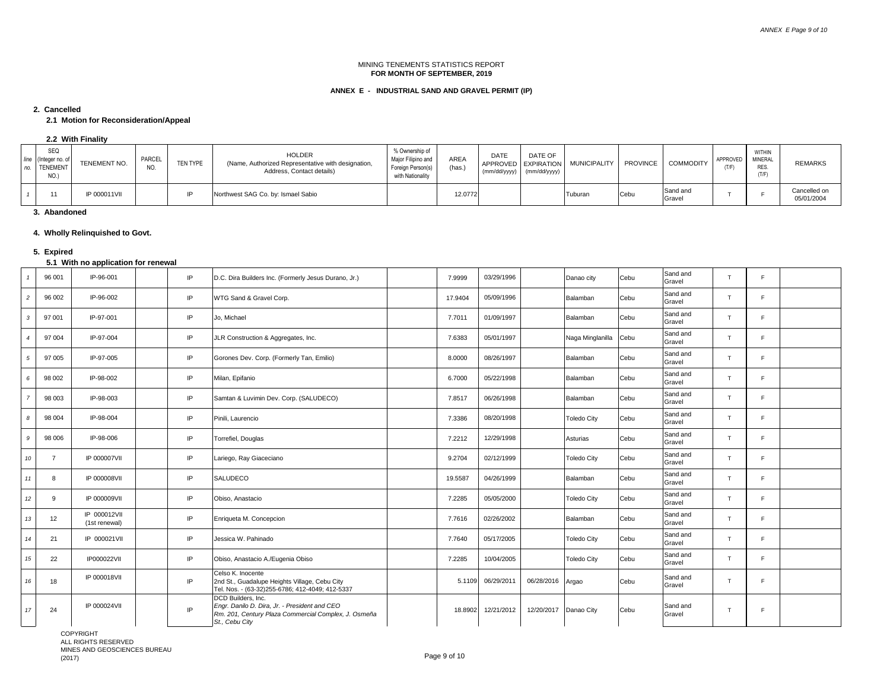# **ANNEX E - INDUSTRIAL SAND AND GRAVEL PERMIT (IP)**

#### **2. Cancelled**

# **2.1 Motion for Reconsideration/Appeal**

 **2.2 With Finality**

| no. | SEQ<br>line (Integer no. of<br><b>TENEMENT</b><br>NO.) | TENEMENT NO. | PARCEL<br>NO. | <b>TEN TYPE</b> | <b>HOLDER</b><br>(Name, Authorized Representative with designation,<br>Address, Contact details) | % Ownership of<br>Major Filipino and<br>Foreign Person(s)<br>with Nationality | AREA<br>(has.) | DATE | DATE OF<br>(mm/dd/yyyy)   (mm/dd/yyyy) | APPROVED EXPIRATION MUNICIPALITY | <b>PROVINCE</b> | <b>COMMODITY</b>   | APPROVED | <b>WITHIN</b><br>MINERAL<br>RES.<br>(T/F) | <b>REMARKS</b>             |
|-----|--------------------------------------------------------|--------------|---------------|-----------------|--------------------------------------------------------------------------------------------------|-------------------------------------------------------------------------------|----------------|------|----------------------------------------|----------------------------------|-----------------|--------------------|----------|-------------------------------------------|----------------------------|
|     |                                                        | IP 000011VII |               |                 | Northwest SAG Co. by: Ismael Sabio                                                               |                                                                               | 12.0772        |      |                                        | Tuburan                          | Cebu            | Sand and<br>Gravel |          |                                           | Cancelled on<br>05/01/2004 |

 **3. Abandoned**

# **4. Wholly Relinquished to Govt.**

#### **5. Expired**

#### **5.1 With no application for renewal**

|                  | 96 001 | IP-96-001                     | IP  | D.C. Dira Builders Inc. (Formerly Jesus Durano, Jr.)                                                                                          | 7.9999  | 03/29/1996 |            | Danao city         | Cebu        | Sand and<br>Gravel | T              | E              |  |
|------------------|--------|-------------------------------|-----|-----------------------------------------------------------------------------------------------------------------------------------------------|---------|------------|------------|--------------------|-------------|--------------------|----------------|----------------|--|
| $\overline{c}$   | 96 002 | IP-96-002                     | IP  | WTG Sand & Gravel Corp.                                                                                                                       | 17.9404 | 05/09/1996 |            | Balamban           | Cebu        | Sand and<br>Gravel | л              | $\blacksquare$ |  |
| 3                | 97 001 | IP-97-001                     | IP  | Jo, Michael                                                                                                                                   | 7.7011  | 01/09/1997 |            | Balamban           | Cebu        | Sand and<br>Gravel | $\mathbf \tau$ | <b>C</b>       |  |
| $\boldsymbol{A}$ | 97 004 | IP-97-004                     | IP  | JLR Construction & Aggregates, Inc.                                                                                                           | 7.6383  | 05/01/1997 |            | Naga Minglanilla   | Cebu        | Sand and<br>Gravel | $^{\rm T}$     | $\blacksquare$ |  |
| 5                | 97 005 | IP-97-005                     | IP  | Gorones Dev. Corp. (Formerly Tan, Emilio)                                                                                                     | 8.0000  | 08/26/1997 |            | Balamban           | Cebu        | Sand and<br>Gravel | $\mathbf \tau$ | <b>C</b>       |  |
| 6                | 98 002 | IP-98-002                     | IP  | Milan, Epifanio                                                                                                                               | 6.7000  | 05/22/1998 |            | Balamban           | Cebu        | Sand and<br>Gravel | $\mathbf \tau$ | $\blacksquare$ |  |
|                  | 98 003 | IP-98-003                     | IP  | Samtan & Luvimin Dev. Corp. (SALUDECO)                                                                                                        | 7.8517  | 06/26/1998 |            | Balamban           | Cebu        | Sand and<br>Gravel | T              | $\blacksquare$ |  |
| 8                | 98 004 | IP-98-004                     | IP  | Pinili, Laurencio                                                                                                                             | 7.3386  | 08/20/1998 |            | <b>Toledo City</b> | Cebu        | Sand and<br>Gravel | $\mathbf{I}$   | Е              |  |
| 9                | 98 006 | IP-98-006                     | IP  | Torrefiel, Douglas                                                                                                                            | 7.2212  | 12/29/1998 |            | Asturias           | Cebu        | Sand and<br>Gravel | T              | $\blacksquare$ |  |
| 10               |        | <b>IP 000007VII</b>           | IP  | Lariego, Ray Giaceciano                                                                                                                       | 9.2704  | 02/12/1999 |            | <b>Toledo City</b> | <b>Cebu</b> | Sand and<br>Gravel | T              | $\blacksquare$ |  |
| 11               | 8      | <b>IP 000008VII</b>           | IP  | SALUDECO                                                                                                                                      | 19.5587 | 04/26/1999 |            | Balamban           | Cebu        | Sand and<br>Gravel | T              | E              |  |
| 12               | g      | IP 000009VII                  | IP. | Obiso, Anastacio                                                                                                                              | 7.2285  | 05/05/2000 |            | <b>Toledo City</b> | Cebu        | Sand and<br>Gravel | $\mathbf \tau$ | $\blacksquare$ |  |
| 13               | 12     | IP 000012VII<br>(1st renewal) | IP  | Enriqueta M. Concepcion                                                                                                                       | 7.7616  | 02/26/2002 |            | Balamban           | <b>Cebu</b> | Sand and<br>Gravel |                | $\blacksquare$ |  |
| 14               | 21     | IP 000021VII                  | IP  | Jessica W. Pahinado                                                                                                                           | 7.7640  | 05/17/2005 |            | <b>Toledo City</b> | Cebu        | Sand and<br>Gravel | $^{\rm T}$     | $\blacksquare$ |  |
| 15               | 22     | <b>IP000022VII</b>            | IP  | Obiso, Anastacio A./Eugenia Obiso                                                                                                             | 7.2285  | 10/04/2005 |            | <b>Toledo City</b> | Cebu        | Sand and<br>Gravel | $\mathbf{T}$   | E              |  |
| 16               | 18     | IP 000018VII                  | IP  | Celso K. Inocente<br>2nd St., Guadalupe Heights Village, Cebu City<br>Tel. Nos. - (63-32)255-6786; 412-4049; 412-5337                         | 5.1109  | 06/29/2011 | 06/28/2016 | Argao              | Cebu        | Sand and<br>Gravel | т              | $\blacksquare$ |  |
| 17               | 24     | IP 000024VII                  | IP  | DCD Builders, Inc.<br>Engr. Danilo D. Dira, Jr. - President and CEO<br>Rm. 201, Century Plaza Commercial Complex, J. Osmeña<br>St., Cebu City | 18.8902 | 12/21/2012 | 12/20/2017 | Danao City         | Cebu        | Sand and<br>Gravel | $\mathbf{I}$   | $\blacksquare$ |  |